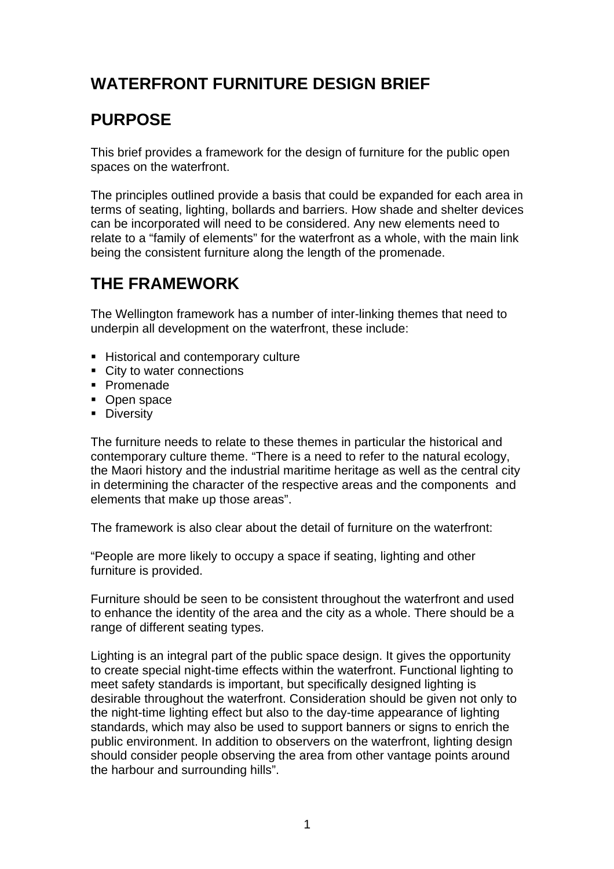## **WATERFRONT FURNITURE DESIGN BRIEF**

### **PURPOSE**

This brief provides a framework for the design of furniture for the public open spaces on the waterfront.

The principles outlined provide a basis that could be expanded for each area in terms of seating, lighting, bollards and barriers. How shade and shelter devices can be incorporated will need to be considered. Any new elements need to relate to a "family of elements" for the waterfront as a whole, with the main link being the consistent furniture along the length of the promenade.

# **THE FRAMEWORK**

The Wellington framework has a number of inter-linking themes that need to underpin all development on the waterfront, these include:

- Historical and contemporary culture
- City to water connections
- **Promenade**
- Open space
- **Diversity**

The furniture needs to relate to these themes in particular the historical and contemporary culture theme. "There is a need to refer to the natural ecology, the Maori history and the industrial maritime heritage as well as the central city in determining the character of the respective areas and the components and elements that make up those areas".

The framework is also clear about the detail of furniture on the waterfront:

"People are more likely to occupy a space if seating, lighting and other furniture is provided.

Furniture should be seen to be consistent throughout the waterfront and used to enhance the identity of the area and the city as a whole. There should be a range of different seating types.

Lighting is an integral part of the public space design. It gives the opportunity to create special night-time effects within the waterfront. Functional lighting to meet safety standards is important, but specifically designed lighting is desirable throughout the waterfront. Consideration should be given not only to the night-time lighting effect but also to the day-time appearance of lighting standards, which may also be used to support banners or signs to enrich the public environment. In addition to observers on the waterfront, lighting design should consider people observing the area from other vantage points around the harbour and surrounding hills".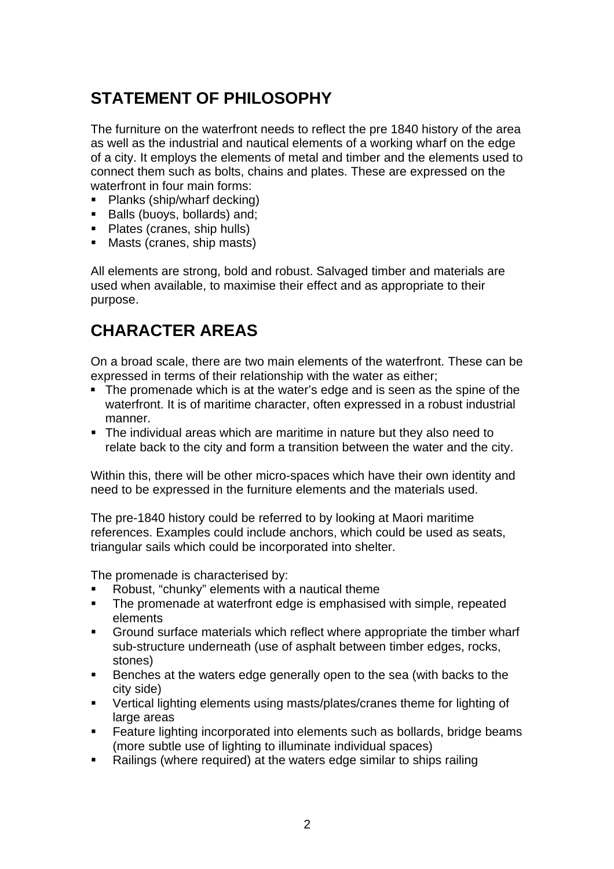## **STATEMENT OF PHILOSOPHY**

The furniture on the waterfront needs to reflect the pre 1840 history of the area as well as the industrial and nautical elements of a working wharf on the edge of a city. It employs the elements of metal and timber and the elements used to connect them such as bolts, chains and plates. These are expressed on the waterfront in four main forms:

- Planks (ship/wharf decking)
- Balls (buoys, bollards) and;
- Plates (cranes, ship hulls)
- Masts (cranes, ship masts)

All elements are strong, bold and robust. Salvaged timber and materials are used when available, to maximise their effect and as appropriate to their purpose.

### **CHARACTER AREAS**

On a broad scale, there are two main elements of the waterfront. These can be expressed in terms of their relationship with the water as either;

- The promenade which is at the water's edge and is seen as the spine of the waterfront. It is of maritime character, often expressed in a robust industrial manner.
- The individual areas which are maritime in nature but they also need to relate back to the city and form a transition between the water and the city.

Within this, there will be other micro-spaces which have their own identity and need to be expressed in the furniture elements and the materials used.

The pre-1840 history could be referred to by looking at Maori maritime references. Examples could include anchors, which could be used as seats, triangular sails which could be incorporated into shelter.

The promenade is characterised by:

- Robust, "chunky" elements with a nautical theme
- The promenade at waterfront edge is emphasised with simple, repeated elements
- Ground surface materials which reflect where appropriate the timber wharf sub-structure underneath (use of asphalt between timber edges, rocks, stones)
- Benches at the waters edge generally open to the sea (with backs to the city side)
- Vertical lighting elements using masts/plates/cranes theme for lighting of large areas
- **Feature lighting incorporated into elements such as bollards, bridge beams** (more subtle use of lighting to illuminate individual spaces)
- Railings (where required) at the waters edge similar to ships railing